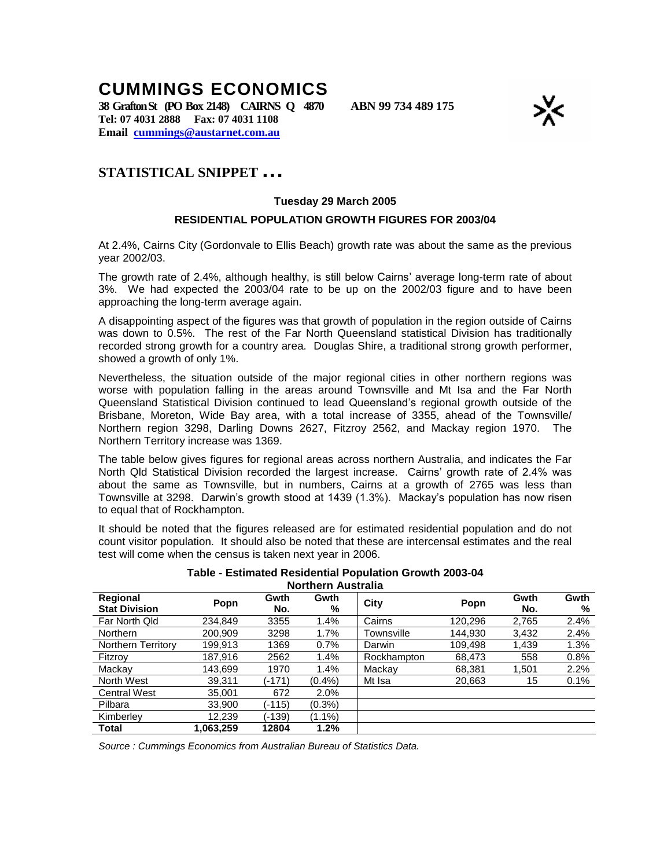## **CUMMINGS ECONOMICS**

**38 GraftonSt (PO Box 2148) CAIRNS Q 4870 ABN 99 734 489 175 Tel: 07 4031 2888 Fax: 07 4031 1108 Email cummings@austarnet.com.au**



## **STATISTICAL SNIPPET…**

## **Tuesday 29 March 2005**

## **RESIDENTIAL POPULATION GROWTH FIGURES FOR 2003/04**

At 2.4%, Cairns City (Gordonvale to Ellis Beach) growth rate was about the same as the previous year 2002/03.

The growth rate of 2.4%, although healthy, is still below Cairns' average long-term rate of about 3%. We had expected the 2003/04 rate to be up on the 2002/03 figure and to have been approaching the long-term average again.

A disappointing aspect of the figures was that growth of population in the region outside of Cairns was down to 0.5%. The rest of the Far North Queensland statistical Division has traditionally recorded strong growth for a country area. Douglas Shire, a traditional strong growth performer, showed a growth of only 1%.

Nevertheless, the situation outside of the major regional cities in other northern regions was worse with population falling in the areas around Townsville and Mt Isa and the Far North Queensland Statistical Division continued to lead Queensland's regional growth outside of the Brisbane, Moreton, Wide Bay area, with a total increase of 3355, ahead of the Townsville/ Northern region 3298, Darling Downs 2627, Fitzroy 2562, and Mackay region 1970. The Northern Territory increase was 1369.

The table below gives figures for regional areas across northern Australia, and indicates the Far North Qld Statistical Division recorded the largest increase. Cairns' growth rate of 2.4% was about the same as Townsville, but in numbers, Cairns at a growth of 2765 was less than Townsville at 3298. Darwin's growth stood at 1439 (1.3%). Mackay's population has now risen to equal that of Rockhampton.

It should be noted that the figures released are for estimated residential population and do not count visitor population. It should also be noted that these are intercensal estimates and the real test will come when the census is taken next year in 2006.

| Northern Australia               |           |             |           |             |         |             |           |
|----------------------------------|-----------|-------------|-----------|-------------|---------|-------------|-----------|
| Regional<br><b>Stat Division</b> | Popn      | Gwth<br>No. | Gwth<br>% | City        | Popn    | Gwth<br>No. | Gwth<br>% |
| Far North Qld                    | 234.849   | 3355        | 1.4%      | Cairns      | 120.296 | 2,765       | 2.4%      |
| <b>Northern</b>                  | 200.909   | 3298        | 1.7%      | Townsville  | 144.930 | 3,432       | 2.4%      |
| Northern Territory               | 199,913   | 1369        | 0.7%      | Darwin      | 109.498 | 1,439       | 1.3%      |
| Fitzroy                          | 187.916   | 2562        | 1.4%      | Rockhampton | 68,473  | 558         | 0.8%      |
| Mackay                           | 143.699   | 1970        | 1.4%      | Mackay      | 68,381  | 1,501       | 2.2%      |
| North West                       | 39.311    | (-171)      | $(0.4\%)$ | Mt Isa      | 20,663  | 15          | 0.1%      |
| <b>Central West</b>              | 35.001    | 672         | 2.0%      |             |         |             |           |
| Pilbara                          | 33.900    | (-115)      | $(0.3\%)$ |             |         |             |           |
| Kimberley                        | 12.239    | (-139)      | $(1.1\%)$ |             |         |             |           |
| Total                            | 1.063.259 | 12804       | 1.2%      |             |         |             |           |

**Table - Estimated Residential Population Growth 2003-04 Northern Australia**

*Source : Cummings Economics from Australian Bureau of Statistics Data.*